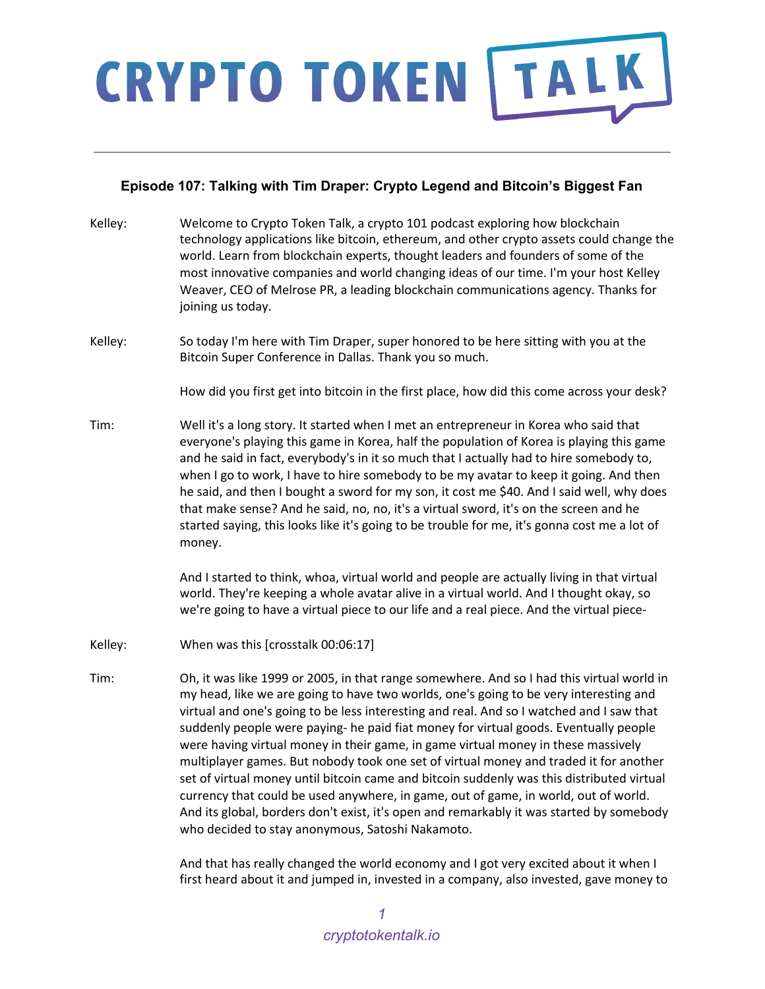### **Episode 107: Talking with Tim Draper: Crypto Legend and Bitcoin's Biggest Fan**

| Kelley: | Welcome to Crypto Token Talk, a crypto 101 podcast exploring how blockchain<br>technology applications like bitcoin, ethereum, and other crypto assets could change the<br>world. Learn from blockchain experts, thought leaders and founders of some of the<br>most innovative companies and world changing ideas of our time. I'm your host Kelley<br>Weaver, CEO of Melrose PR, a leading blockchain communications agency. Thanks for<br>joining us today.                                                                                                                                                                                                                                                                           |
|---------|------------------------------------------------------------------------------------------------------------------------------------------------------------------------------------------------------------------------------------------------------------------------------------------------------------------------------------------------------------------------------------------------------------------------------------------------------------------------------------------------------------------------------------------------------------------------------------------------------------------------------------------------------------------------------------------------------------------------------------------|
| Kelley: | So today I'm here with Tim Draper, super honored to be here sitting with you at the<br>Bitcoin Super Conference in Dallas. Thank you so much.                                                                                                                                                                                                                                                                                                                                                                                                                                                                                                                                                                                            |
|         | How did you first get into bitcoin in the first place, how did this come across your desk?                                                                                                                                                                                                                                                                                                                                                                                                                                                                                                                                                                                                                                               |
| Tim:    | Well it's a long story. It started when I met an entrepreneur in Korea who said that<br>everyone's playing this game in Korea, half the population of Korea is playing this game<br>and he said in fact, everybody's in it so much that I actually had to hire somebody to,<br>when I go to work, I have to hire somebody to be my avatar to keep it going. And then<br>he said, and then I bought a sword for my son, it cost me \$40. And I said well, why does<br>that make sense? And he said, no, no, it's a virtual sword, it's on the screen and he<br>started saying, this looks like it's going to be trouble for me, it's gonna cost me a lot of<br>money.                                                                     |
|         | And I started to think, whoa, virtual world and people are actually living in that virtual<br>world. They're keeping a whole avatar alive in a virtual world. And I thought okay, so<br>we're going to have a virtual piece to our life and a real piece. And the virtual piece-                                                                                                                                                                                                                                                                                                                                                                                                                                                         |
| Kelley: | When was this [crosstalk 00:06:17]                                                                                                                                                                                                                                                                                                                                                                                                                                                                                                                                                                                                                                                                                                       |
| Tim:    | Oh, it was like 1999 or 2005, in that range somewhere. And so I had this virtual world in<br>my head, like we are going to have two worlds, one's going to be very interesting and<br>virtual and one's going to be less interesting and real. And so I watched and I saw that<br>suddenly people were paying- he paid fiat money for virtual goods. Eventually people<br>were having virtual money in their game, in game virtual money in these massively<br>multiplayer games. But nobody took one set of virtual money and traded it for another<br>set of virtual money until bitcoin came and bitcoin suddenly was this distributed virtual<br>currency that could be used anywhere, in game, out of game, in world, out of world. |

And that has really changed the world economy and I got very excited about it when I first heard about it and jumped in, invested in a company, also invested, gave money to

And its global, borders don't exist, it's open and remarkably it was started by somebody

who decided to stay anonymous, Satoshi Nakamoto.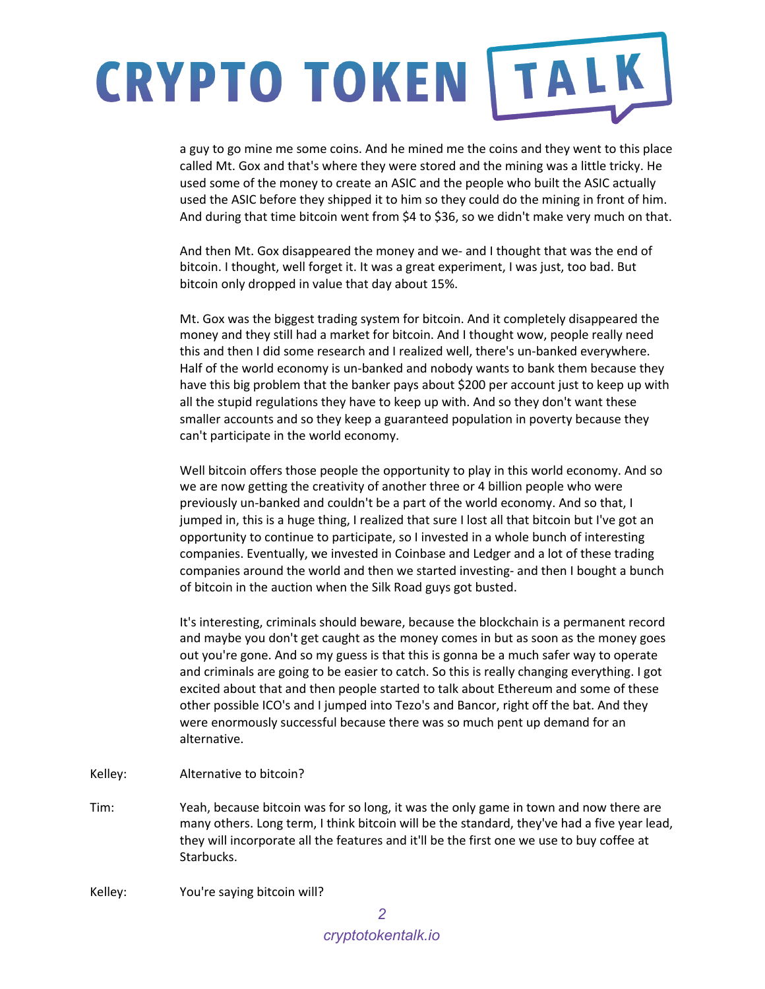a guy to go mine me some coins. And he mined me the coins and they went to this place called Mt. Gox and that's where they were stored and the mining was a little tricky. He used some of the money to create an ASIC and the people who built the ASIC actually used the ASIC before they shipped it to him so they could do the mining in front of him. And during that time bitcoin went from \$4 to \$36, so we didn't make very much on that.

And then Mt. Gox disappeared the money and we- and I thought that was the end of bitcoin. I thought, well forget it. It was a great experiment, I was just, too bad. But bitcoin only dropped in value that day about 15%.

Mt. Gox was the biggest trading system for bitcoin. And it completely disappeared the money and they still had a market for bitcoin. And I thought wow, people really need this and then I did some research and I realized well, there's un-banked everywhere. Half of the world economy is un-banked and nobody wants to bank them because they have this big problem that the banker pays about \$200 per account just to keep up with all the stupid regulations they have to keep up with. And so they don't want these smaller accounts and so they keep a guaranteed population in poverty because they can't participate in the world economy.

Well bitcoin offers those people the opportunity to play in this world economy. And so we are now getting the creativity of another three or 4 billion people who were previously un-banked and couldn't be a part of the world economy. And so that, I jumped in, this is a huge thing, I realized that sure I lost all that bitcoin but I've got an opportunity to continue to participate, so I invested in a whole bunch of interesting companies. Eventually, we invested in Coinbase and Ledger and a lot of these trading companies around the world and then we started investing- and then I bought a bunch of bitcoin in the auction when the Silk Road guys got busted.

It's interesting, criminals should beware, because the blockchain is a permanent record and maybe you don't get caught as the money comes in but as soon as the money goes out you're gone. And so my guess is that this is gonna be a much safer way to operate and criminals are going to be easier to catch. So this is really changing everything. I got excited about that and then people started to talk about Ethereum and some of these other possible ICO's and I jumped into Tezo's and Bancor, right off the bat. And they were enormously successful because there was so much pent up demand for an alternative.

- Kelley: Alternative to bitcoin?
- Tim: Yeah, because bitcoin was for so long, it was the only game in town and now there are many others. Long term, I think bitcoin will be the standard, they've had a five year lead, they will incorporate all the features and it'll be the first one we use to buy coffee at Starbucks.
- Kelley: You're saying bitcoin will?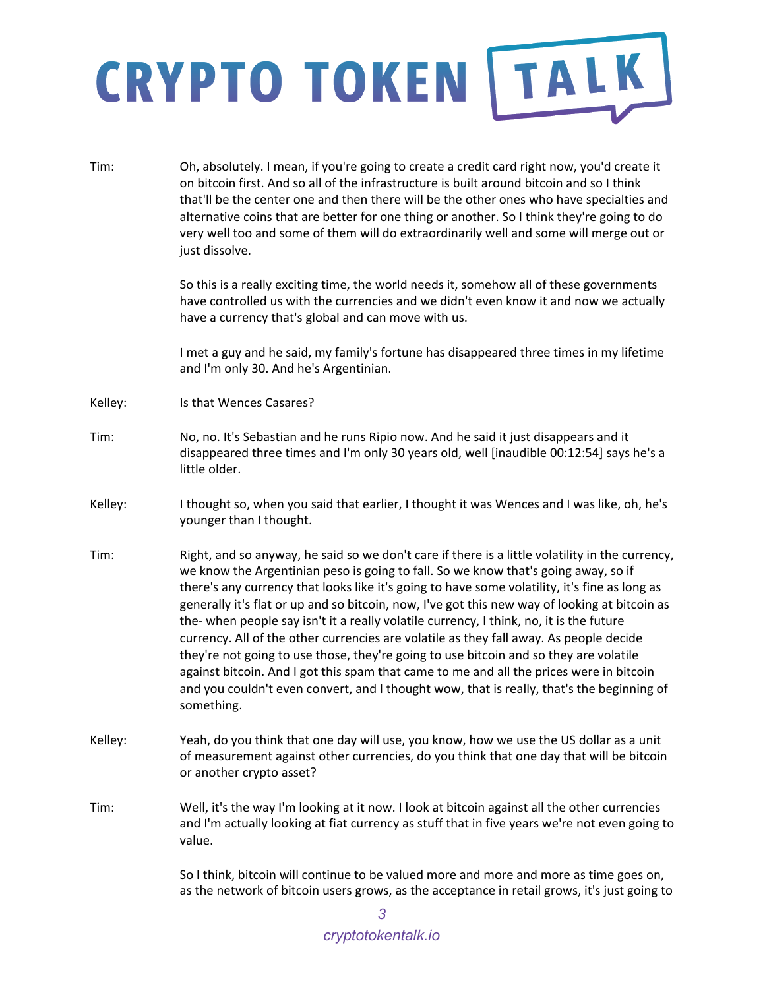Tim: Oh, absolutely. I mean, if you're going to create a credit card right now, you'd create it on bitcoin first. And so all of the infrastructure is built around bitcoin and so I think that'll be the center one and then there will be the other ones who have specialties and alternative coins that are better for one thing or another. So I think they're going to do very well too and some of them will do extraordinarily well and some will merge out or just dissolve. So this is a really exciting time, the world needs it, somehow all of these governments have controlled us with the currencies and we didn't even know it and now we actually have a currency that's global and can move with us. I met a guy and he said, my family's fortune has disappeared three times in my lifetime and I'm only 30. And he's Argentinian. Kelley: Is that Wences Casares? Tim: No, no. It's Sebastian and he runs Ripio now. And he said it just disappears and it disappeared three times and I'm only 30 years old, well [inaudible 00:12:54] says he's a little older. Kelley: I thought so, when you said that earlier, I thought it was Wences and I was like, oh, he's younger than I thought. Tim: Right, and so anyway, he said so we don't care if there is a little volatility in the currency, we know the Argentinian peso is going to fall. So we know that's going away, so if there's any currency that looks like it's going to have some volatility, it's fine as long as generally it's flat or up and so bitcoin, now, I've got this new way of looking at bitcoin as the- when people say isn't it a really volatile currency, I think, no, it is the future currency. All of the other currencies are volatile as they fall away. As people decide they're not going to use those, they're going to use bitcoin and so they are volatile against bitcoin. And I got this spam that came to me and all the prices were in bitcoin and you couldn't even convert, and I thought wow, that is really, that's the beginning of something. Kelley: Yeah, do you think that one day will use, you know, how we use the US dollar as a unit of measurement against other currencies, do you think that one day that will be bitcoin or another crypto asset? Tim: Well, it's the way I'm looking at it now. I look at bitcoin against all the other currencies and I'm actually looking at fiat currency as stuff that in five years we're not even going to value. So I think, bitcoin will continue to be valued more and more and more as time goes on, as the network of bitcoin users grows, as the acceptance in retail grows, it's just going to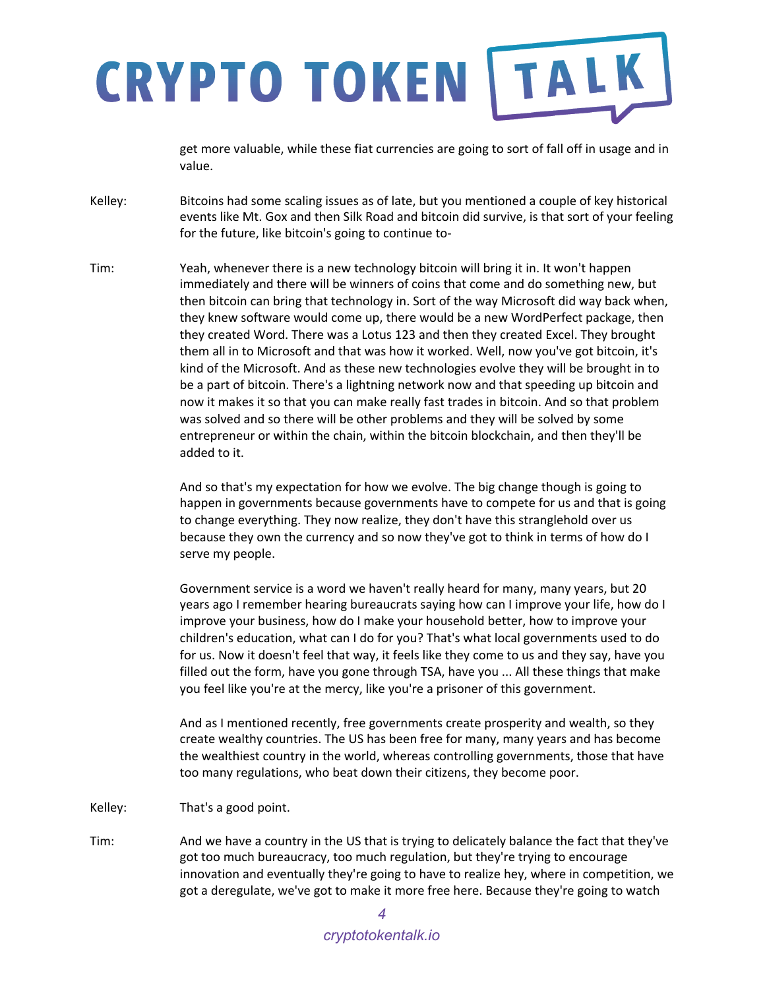get more valuable, while these fiat currencies are going to sort of fall off in usage and in value.

- Kelley: Bitcoins had some scaling issues as of late, but you mentioned a couple of key historical events like Mt. Gox and then Silk Road and bitcoin did survive, is that sort of your feeling for the future, like bitcoin's going to continue to-
- Tim: Yeah, whenever there is a new technology bitcoin will bring it in. It won't happen immediately and there will be winners of coins that come and do something new, but then bitcoin can bring that technology in. Sort of the way Microsoft did way back when, they knew software would come up, there would be a new WordPerfect package, then they created Word. There was a Lotus 123 and then they created Excel. They brought them all in to Microsoft and that was how it worked. Well, now you've got bitcoin, it's kind of the Microsoft. And as these new technologies evolve they will be brought in to be a part of bitcoin. There's a lightning network now and that speeding up bitcoin and now it makes it so that you can make really fast trades in bitcoin. And so that problem was solved and so there will be other problems and they will be solved by some entrepreneur or within the chain, within the bitcoin blockchain, and then they'll be added to it.

And so that's my expectation for how we evolve. The big change though is going to happen in governments because governments have to compete for us and that is going to change everything. They now realize, they don't have this stranglehold over us because they own the currency and so now they've got to think in terms of how do I serve my people.

Government service is a word we haven't really heard for many, many years, but 20 years ago I remember hearing bureaucrats saying how can I improve your life, how do I improve your business, how do I make your household better, how to improve your children's education, what can I do for you? That's what local governments used to do for us. Now it doesn't feel that way, it feels like they come to us and they say, have you filled out the form, have you gone through TSA, have you ... All these things that make you feel like you're at the mercy, like you're a prisoner of this government.

And as I mentioned recently, free governments create prosperity and wealth, so they create wealthy countries. The US has been free for many, many years and has become the wealthiest country in the world, whereas controlling governments, those that have too many regulations, who beat down their citizens, they become poor.

- Kelley: That's a good point.
- Tim: And we have a country in the US that is trying to delicately balance the fact that they've got too much bureaucracy, too much regulation, but they're trying to encourage innovation and eventually they're going to have to realize hey, where in competition, we got a deregulate, we've got to make it more free here. Because they're going to watch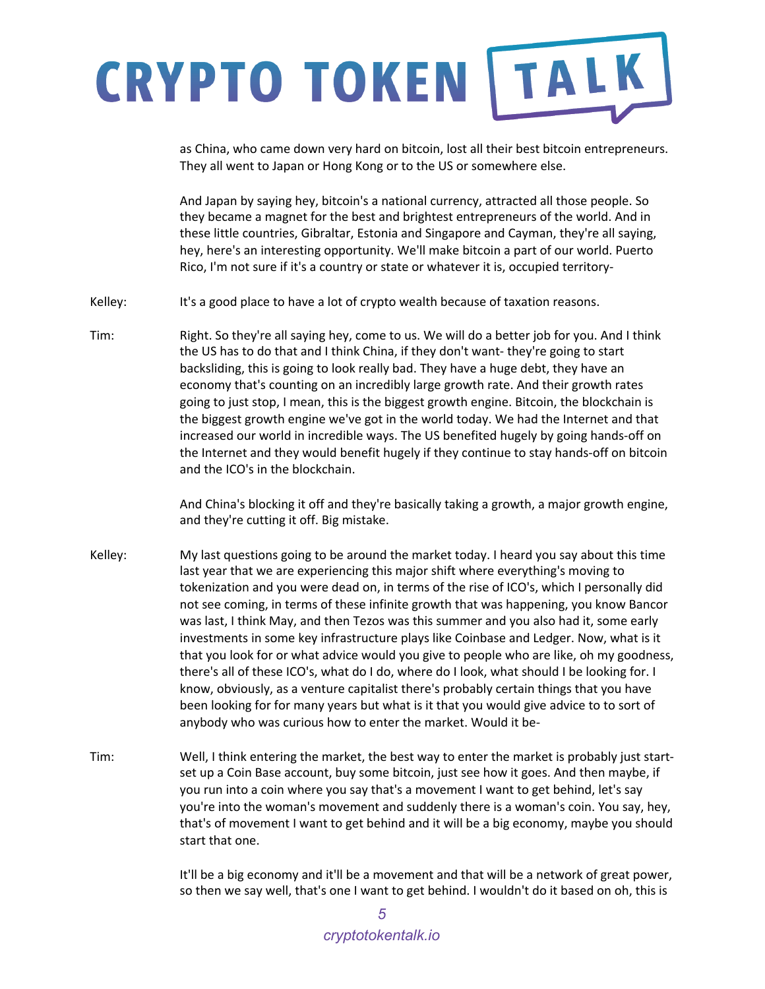as China, who came down very hard on bitcoin, lost all their best bitcoin entrepreneurs. They all went to Japan or Hong Kong or to the US or somewhere else.

And Japan by saying hey, bitcoin's a national currency, attracted all those people. So they became a magnet for the best and brightest entrepreneurs of the world. And in these little countries, Gibraltar, Estonia and Singapore and Cayman, they're all saying, hey, here's an interesting opportunity. We'll make bitcoin a part of our world. Puerto Rico, I'm not sure if it's a country or state or whatever it is, occupied territory-

Kelley: It's a good place to have a lot of crypto wealth because of taxation reasons.

Tim: Right. So they're all saying hey, come to us. We will do a better job for you. And I think the US has to do that and I think China, if they don't want- they're going to start backsliding, this is going to look really bad. They have a huge debt, they have an economy that's counting on an incredibly large growth rate. And their growth rates going to just stop, I mean, this is the biggest growth engine. Bitcoin, the blockchain is the biggest growth engine we've got in the world today. We had the Internet and that increased our world in incredible ways. The US benefited hugely by going hands-off on the Internet and they would benefit hugely if they continue to stay hands-off on bitcoin and the ICO's in the blockchain.

> And China's blocking it off and they're basically taking a growth, a major growth engine, and they're cutting it off. Big mistake.

- Kelley: My last questions going to be around the market today. I heard you say about this time last year that we are experiencing this major shift where everything's moving to tokenization and you were dead on, in terms of the rise of ICO's, which I personally did not see coming, in terms of these infinite growth that was happening, you know Bancor was last, I think May, and then Tezos was this summer and you also had it, some early investments in some key infrastructure plays like Coinbase and Ledger. Now, what is it that you look for or what advice would you give to people who are like, oh my goodness, there's all of these ICO's, what do I do, where do I look, what should I be looking for. I know, obviously, as a venture capitalist there's probably certain things that you have been looking for for many years but what is it that you would give advice to to sort of anybody who was curious how to enter the market. Would it be-
- Tim: Well, I think entering the market, the best way to enter the market is probably just startset up a Coin Base account, buy some bitcoin, just see how it goes. And then maybe, if you run into a coin where you say that's a movement I want to get behind, let's say you're into the woman's movement and suddenly there is a woman's coin. You say, hey, that's of movement I want to get behind and it will be a big economy, maybe you should start that one.

It'll be a big economy and it'll be a movement and that will be a network of great power, so then we say well, that's one I want to get behind. I wouldn't do it based on oh, this is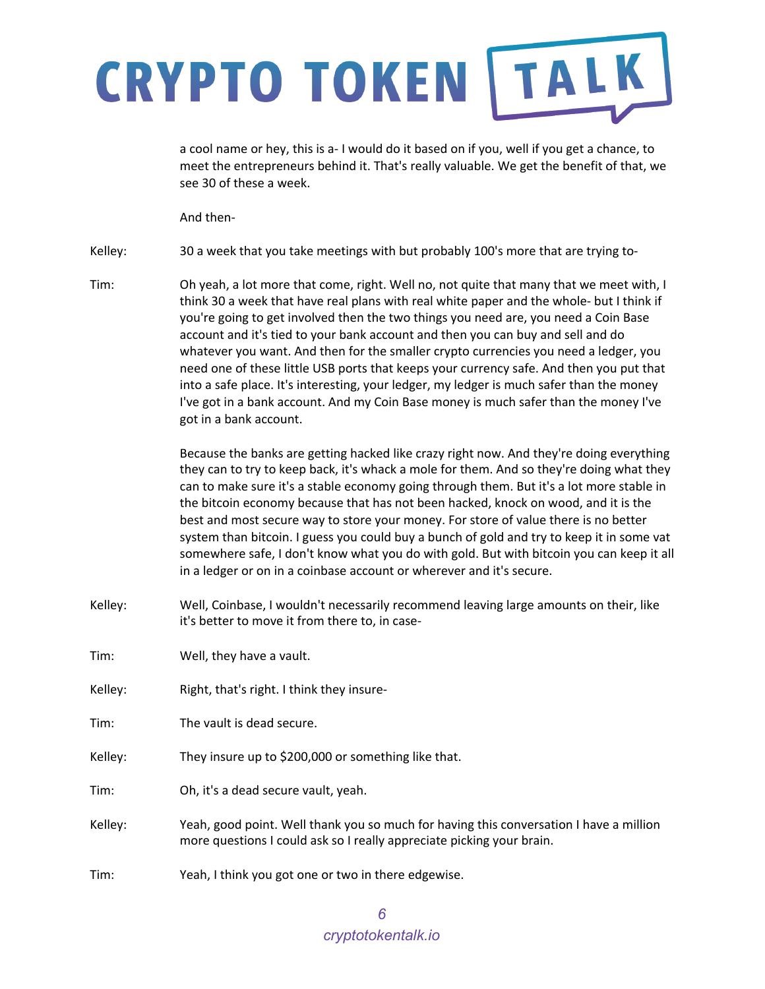a cool name or hey, this is a- I would do it based on if you, well if you get a chance, to meet the entrepreneurs behind it. That's really valuable. We get the benefit of that, we see 30 of these a week.

And then-

Kelley: 30 a week that you take meetings with but probably 100's more that are trying to-

Tim: Oh yeah, a lot more that come, right. Well no, not quite that many that we meet with, I think 30 a week that have real plans with real white paper and the whole- but I think if you're going to get involved then the two things you need are, you need a Coin Base account and it's tied to your bank account and then you can buy and sell and do whatever you want. And then for the smaller crypto currencies you need a ledger, you need one of these little USB ports that keeps your currency safe. And then you put that into a safe place. It's interesting, your ledger, my ledger is much safer than the money I've got in a bank account. And my Coin Base money is much safer than the money I've got in a bank account.

> Because the banks are getting hacked like crazy right now. And they're doing everything they can to try to keep back, it's whack a mole for them. And so they're doing what they can to make sure it's a stable economy going through them. But it's a lot more stable in the bitcoin economy because that has not been hacked, knock on wood, and it is the best and most secure way to store your money. For store of value there is no better system than bitcoin. I guess you could buy a bunch of gold and try to keep it in some vat somewhere safe, I don't know what you do with gold. But with bitcoin you can keep it all in a ledger or on in a coinbase account or wherever and it's secure.

- Kelley: Well, Coinbase, I wouldn't necessarily recommend leaving large amounts on their, like it's better to move it from there to, in case-
- Tim: Well, they have a vault.
- Kelley: Right, that's right. I think they insure-
- Tim: The vault is dead secure.
- Kelley: They insure up to \$200,000 or something like that.
- Tim: Oh, it's a dead secure vault, yeah.
- Kelley: Yeah, good point. Well thank you so much for having this conversation I have a million more questions I could ask so I really appreciate picking your brain.
- Tim: Yeah, I think you got one or two in there edgewise.